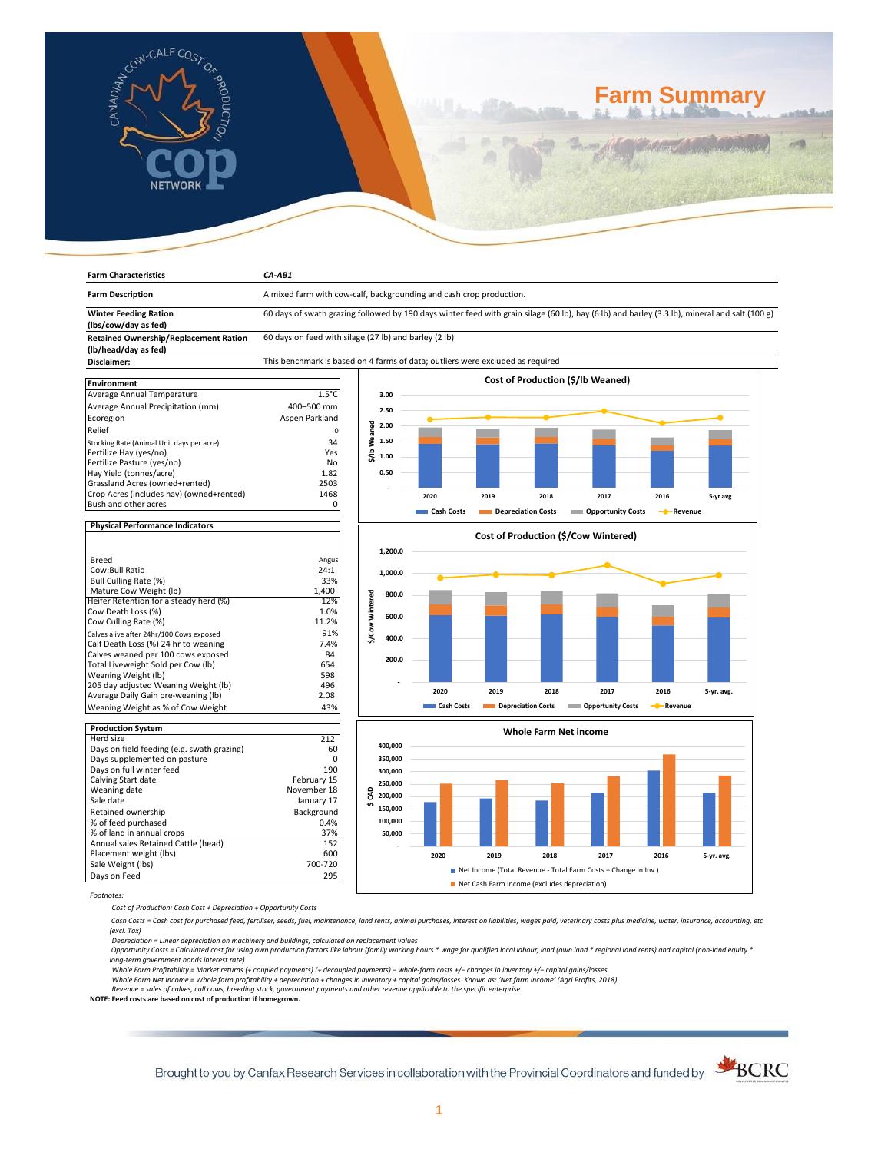

**Farm Characteristics** *CA-AB1*

# **Farm Summary**

| <b>Farm Description</b>                                             | A mixed farm with cow-calf, backgrounding and cash crop production.                                                                           |                 |         |            |      |                    |                                          |                |            |
|---------------------------------------------------------------------|-----------------------------------------------------------------------------------------------------------------------------------------------|-----------------|---------|------------|------|--------------------|------------------------------------------|----------------|------------|
| <b>Winter Feeding Ration</b>                                        | 60 days of swath grazing followed by 190 days winter feed with grain silage (60 lb), hay (6 lb) and barley (3.3 lb), mineral and salt (100 g) |                 |         |            |      |                    |                                          |                |            |
| (lbs/cow/day as fed)                                                |                                                                                                                                               |                 |         |            |      |                    |                                          |                |            |
| <b>Retained Ownership/Replacement Ration</b>                        | 60 days on feed with silage (27 lb) and barley (2 lb)                                                                                         |                 |         |            |      |                    |                                          |                |            |
| (lb/head/day as fed)                                                |                                                                                                                                               |                 |         |            |      |                    |                                          |                |            |
| Disclaimer:                                                         | This benchmark is based on 4 farms of data; outliers were excluded as required                                                                |                 |         |            |      |                    |                                          |                |            |
|                                                                     |                                                                                                                                               |                 |         |            |      |                    |                                          |                |            |
| <b>Environment</b>                                                  |                                                                                                                                               |                 |         |            |      |                    | <b>Cost of Production (\$/lb Weaned)</b> |                |            |
| Average Annual Temperature                                          | $1.5^{\circ}$ C                                                                                                                               |                 | 3.00    |            |      |                    |                                          |                |            |
| Average Annual Precipitation (mm)                                   | 400-500 mm                                                                                                                                    |                 | 2.50    |            |      |                    |                                          |                |            |
| Ecoregion                                                           | Aspen Parkland                                                                                                                                |                 |         |            |      |                    |                                          |                |            |
| Relief                                                              |                                                                                                                                               | \$/lb Weaned    | 2.00    |            |      |                    |                                          |                |            |
|                                                                     | 34                                                                                                                                            |                 | 1.50    |            |      |                    |                                          |                |            |
| Stocking Rate (Animal Unit days per acre)<br>Fertilize Hay (yes/no) | Yes                                                                                                                                           |                 |         |            |      |                    |                                          |                |            |
| Fertilize Pasture (yes/no)                                          | No                                                                                                                                            |                 | 1.00    |            |      |                    |                                          |                |            |
| Hay Yield (tonnes/acre)                                             | 1.82                                                                                                                                          |                 | 0.50    |            |      |                    |                                          |                |            |
| Grassland Acres (owned+rented)                                      | 2503                                                                                                                                          |                 |         |            |      |                    |                                          |                |            |
| Crop Acres (includes hay) (owned+rented)                            | 1468                                                                                                                                          |                 |         |            |      |                    |                                          |                |            |
| Bush and other acres                                                | 0                                                                                                                                             |                 |         | 2020       | 2019 | 2018               | 2017                                     | 2016           | 5-yr avg   |
|                                                                     |                                                                                                                                               |                 |         | Cash Costs |      | Depreciation Costs | <b>Opportunity Costs</b>                 | - Revenue      |            |
| <b>Physical Performance Indicators</b>                              |                                                                                                                                               |                 |         |            |      |                    |                                          |                |            |
|                                                                     |                                                                                                                                               |                 |         |            |      |                    | Cost of Production (\$/Cow Wintered)     |                |            |
|                                                                     |                                                                                                                                               |                 | 1,200.0 |            |      |                    |                                          |                |            |
| <b>Breed</b>                                                        | Angus                                                                                                                                         |                 |         |            |      |                    |                                          |                |            |
| Cow:Bull Ratio                                                      | 24:1                                                                                                                                          |                 | 1,000.0 |            |      |                    |                                          |                |            |
| Bull Culling Rate (%)                                               | 33%                                                                                                                                           |                 |         |            |      |                    |                                          |                |            |
| Mature Cow Weight (lb)                                              | 1.400                                                                                                                                         |                 | 800.0   |            |      |                    |                                          |                |            |
| Heifer Retention for a steady herd (%)                              | 12%                                                                                                                                           | \$/Cow Wintered |         |            |      |                    |                                          |                |            |
| Cow Death Loss (%)                                                  | 1.0%                                                                                                                                          |                 | 600.0   |            |      |                    |                                          |                |            |
| Cow Culling Rate (%)                                                | 11.2%                                                                                                                                         |                 |         |            |      |                    |                                          |                |            |
| Calves alive after 24hr/100 Cows exposed                            | 91%                                                                                                                                           |                 | 400.0   |            |      |                    |                                          |                |            |
| Calf Death Loss (%) 24 hr to weaning                                | 7.4%                                                                                                                                          |                 |         |            |      |                    |                                          |                |            |
| Calves weaned per 100 cows exposed                                  | 84                                                                                                                                            |                 | 200.0   |            |      |                    |                                          |                |            |
| Total Liveweight Sold per Cow (lb)                                  | 654                                                                                                                                           |                 |         |            |      |                    |                                          |                |            |
| Weaning Weight (lb)<br>205 day adjusted Weaning Weight (lb)         | 598<br>496                                                                                                                                    |                 |         |            |      |                    |                                          |                |            |
| Average Daily Gain pre-weaning (lb)                                 | 2.08                                                                                                                                          |                 |         | 2020       | 2019 | 2018               | 2017                                     | 2016           | 5-yr. avg. |
| Weaning Weight as % of Cow Weight                                   | 43%                                                                                                                                           |                 |         | Cash Costs |      | Depreciation Costs | <b>Component Contracts</b>               | <b>Revenue</b> |            |
|                                                                     |                                                                                                                                               |                 |         |            |      |                    |                                          |                |            |
| <b>Production System</b>                                            |                                                                                                                                               |                 |         |            |      |                    | <b>Whole Farm Net income</b>             |                |            |
| Herd size                                                           | 212                                                                                                                                           |                 |         |            |      |                    |                                          |                |            |
| Days on field feeding (e.g. swath grazing)                          | 60                                                                                                                                            |                 | 400,000 |            |      |                    |                                          |                |            |
| Days supplemented on pasture                                        | $\mathbf 0$                                                                                                                                   |                 | 350,000 |            |      |                    |                                          |                |            |
| Days on full winter feed                                            | 190                                                                                                                                           |                 | 300,000 |            |      |                    |                                          |                |            |
| Calving Start date                                                  | February 15                                                                                                                                   |                 | 250,000 |            |      |                    |                                          |                |            |
| Weaning date                                                        | November 18                                                                                                                                   | g               | 200,000 |            |      |                    |                                          |                |            |
| Sale date                                                           | January 17                                                                                                                                    | Ś               |         |            |      |                    |                                          |                |            |
| Retained ownership                                                  | Background                                                                                                                                    |                 | 150,000 |            |      |                    |                                          |                |            |
| % of feed purchased                                                 | 0.4%                                                                                                                                          |                 | 100,000 |            |      |                    |                                          |                |            |
| % of land in annual crops                                           | 37%                                                                                                                                           |                 | 50,000  |            |      |                    |                                          |                |            |

*Footnotes:*

*Cost of Production: Cash Cost + Depreciation + Opportunity Costs*

Annual sales Retained Cattle (head) 152 Placement weight (lbs) 600 Sale Weight (lbs) 700-720 Days on Feed 295

 *Cash Costs = Cash cost for purchased feed, fertiliser, seeds, fuel, maintenance, land rents, animal purchases, interest on liabilities, wages paid, veterinary costs plus medicine, water, insurance, accounting, etc (excl. Tax)* 

**2020 2019 2018 2017 2016 5-yr. avg.**

■ Net Income (Total Revenue - Total Farm Costs + Change in Inv.)

Net Cash Farm Income (excludes depreciation)

Depreciation = Linear depreciation on machinery and buildings, calculated on replacement values<br>Opportunity Costs = Calculated cost for using own production factors like labour (family working hours \* wage for qualified lo *long-term government bonds interest rate)* 

 **- 50,000 100,000**

Whole Farm Profitability = Market returns (+ coupled payments) (+ decoupled payments) – whole-farm costs +/– changes in inventory +/– capital gains/losses.<br>Whole Farm Net Income = Whole farm profitability + depreciation +

*Revenue = sales of calves, cull cows, breeding stock, government payments and other revenue applicable to the specific enterprise* **NOTE: Feed costs are based on cost of production if homegrown.**

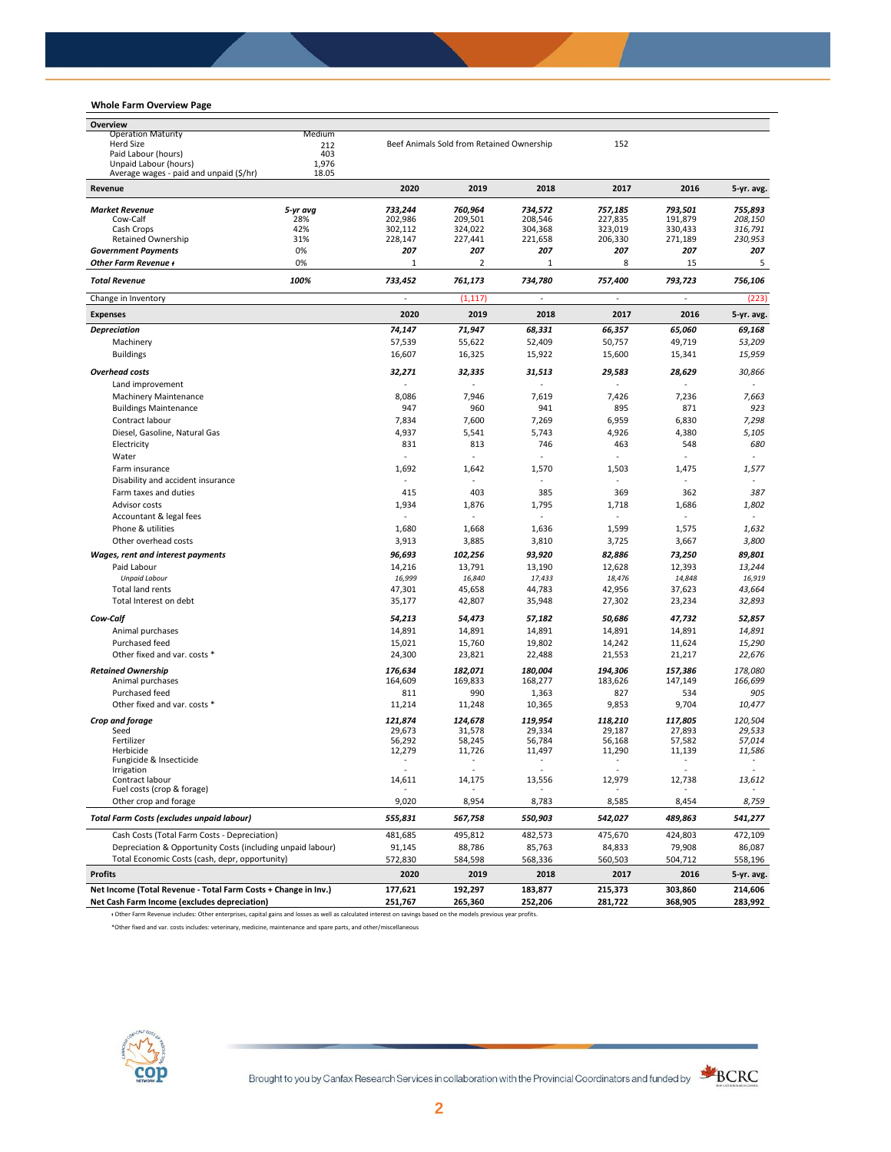## **Whole Farm Overview Page**

| Overview                                                                                                                                                        |                |                          |                                           |                          |                          |                          |                          |
|-----------------------------------------------------------------------------------------------------------------------------------------------------------------|----------------|--------------------------|-------------------------------------------|--------------------------|--------------------------|--------------------------|--------------------------|
| <b>Operation Maturity</b>                                                                                                                                       | Medium         |                          |                                           |                          |                          |                          |                          |
| <b>Herd Size</b>                                                                                                                                                | 212            |                          | Beef Animals Sold from Retained Ownership |                          | 152                      |                          |                          |
| Paid Labour (hours)                                                                                                                                             | 403            |                          |                                           |                          |                          |                          |                          |
| Unpaid Labour (hours)<br>Average wages - paid and unpaid (\$/hr)                                                                                                | 1,976<br>18.05 |                          |                                           |                          |                          |                          |                          |
| Revenue                                                                                                                                                         |                | 2020                     | 2019                                      | 2018                     | 2017                     | 2016                     | 5-yr. avg.               |
| <b>Market Revenue</b>                                                                                                                                           | 5-yr ava       | 733,244                  | 760,964                                   | 734,572                  | 757,185                  | 793,501                  | 755,893                  |
| Cow-Calf                                                                                                                                                        | 28%            | 202,986                  | 209,501                                   | 208,546                  | 227,835                  | 191,879                  | 208,150                  |
| Cash Crops                                                                                                                                                      | 42%            | 302,112                  | 324,022                                   | 304,368                  | 323,019                  | 330,433                  | 316,791                  |
| Retained Ownership                                                                                                                                              | 31%            | 228,147                  | 227,441                                   | 221,658                  | 206,330                  | 271,189                  | 230,953                  |
| <b>Government Payments</b>                                                                                                                                      | 0%             | 207                      | 207                                       | 207                      | 207                      | 207                      | 207                      |
| Other Farm Revenue +                                                                                                                                            | 0%             | $1\,$                    | 2                                         | $\mathbf{1}$             | 8                        | 15                       | 5                        |
| <b>Total Revenue</b>                                                                                                                                            | 100%           | 733,452                  | 761,173                                   | 734,780                  | 757,400                  | 793,723                  | 756,106                  |
| Change in Inventory                                                                                                                                             |                |                          | (1, 117)                                  |                          | ÷,                       |                          | (223)                    |
| <b>Expenses</b>                                                                                                                                                 |                | 2020                     | 2019                                      | 2018                     | 2017                     | 2016                     | 5-yr. avg.               |
| <b>Depreciation</b>                                                                                                                                             |                | 74,147                   | 71,947                                    | 68,331                   | 66,357                   | 65,060                   | 69,168                   |
| Machinery                                                                                                                                                       |                | 57,539                   | 55,622                                    | 52,409                   | 50,757                   | 49,719                   | 53,209                   |
| <b>Buildings</b>                                                                                                                                                |                | 16,607                   | 16,325                                    | 15,922                   | 15,600                   | 15,341                   | 15,959                   |
| <b>Overhead costs</b>                                                                                                                                           |                | 32,271                   | 32,335                                    | 31,513                   | 29,583                   | 28,629                   | 30,866                   |
| Land improvement                                                                                                                                                |                |                          |                                           |                          |                          |                          |                          |
| <b>Machinery Maintenance</b>                                                                                                                                    |                | 8,086                    | 7,946                                     | 7,619                    | 7,426                    | 7,236                    | 7,663                    |
| <b>Buildings Maintenance</b>                                                                                                                                    |                | 947                      | 960                                       | 941                      | 895                      | 871                      | 923                      |
| Contract labour                                                                                                                                                 |                | 7,834                    | 7,600                                     | 7,269                    | 6,959                    | 6,830                    | 7,298                    |
| Diesel, Gasoline, Natural Gas                                                                                                                                   |                | 4,937                    | 5,541                                     | 5,743                    | 4,926                    | 4,380                    | 5,105                    |
| Electricity                                                                                                                                                     |                | 831                      | 813                                       | 746                      | 463                      | 548                      | 680                      |
| Water                                                                                                                                                           |                |                          |                                           |                          | ÷,                       |                          |                          |
| Farm insurance                                                                                                                                                  |                | 1,692                    | 1,642                                     | 1,570                    | 1,503                    | 1,475                    | 1,577                    |
| Disability and accident insurance                                                                                                                               |                |                          |                                           |                          |                          |                          |                          |
| Farm taxes and duties                                                                                                                                           |                | 415                      | 403                                       | 385                      | 369                      | 362                      | 387                      |
| Advisor costs                                                                                                                                                   |                | 1,934                    | 1,876                                     | 1,795                    | 1,718                    | 1,686                    | 1,802                    |
|                                                                                                                                                                 |                | $\overline{\phantom{a}}$ |                                           |                          |                          |                          | $\sim$                   |
| Accountant & legal fees<br>Phone & utilities                                                                                                                    |                |                          |                                           | 1,636                    | 1,599                    |                          |                          |
|                                                                                                                                                                 |                | 1,680                    | 1,668                                     |                          |                          | 1,575                    | 1,632                    |
| Other overhead costs                                                                                                                                            |                | 3,913                    | 3,885                                     | 3,810                    | 3,725                    | 3,667                    | 3,800                    |
| Wages, rent and interest payments                                                                                                                               |                | 96,693                   | 102,256                                   | 93,920                   | 82,886                   | 73,250                   | 89,801                   |
| Paid Labour                                                                                                                                                     |                | 14,216                   | 13,791                                    | 13,190                   | 12,628                   | 12,393                   | 13,244                   |
| <b>Unpaid Labour</b>                                                                                                                                            |                | 16,999                   | 16,840                                    | 17,433                   | 18,476                   | 14,848                   | 16,919                   |
| <b>Total land rents</b>                                                                                                                                         |                | 47,301                   | 45,658                                    | 44,783                   | 42,956                   | 37,623                   | 43,664                   |
| Total Interest on debt                                                                                                                                          |                | 35,177                   | 42,807                                    | 35,948                   | 27,302                   | 23,234                   | 32,893                   |
| Cow-Calf                                                                                                                                                        |                | 54,213                   | 54,473                                    | 57,182                   | 50,686                   | 47,732                   | 52,857                   |
| Animal purchases                                                                                                                                                |                | 14,891                   | 14,891                                    | 14,891                   | 14,891                   | 14,891                   | 14,891                   |
| Purchased feed                                                                                                                                                  |                | 15,021                   | 15,760                                    | 19,802                   | 14,242                   | 11,624                   | 15,290                   |
| Other fixed and var. costs *                                                                                                                                    |                | 24,300                   | 23,821                                    | 22,488                   | 21,553                   | 21,217                   | 22,676                   |
| <b>Retained Ownership</b>                                                                                                                                       |                | 176,634                  | 182,071                                   | 180,004                  | 194,306                  | 157,386                  | 178,080                  |
| Animal purchases                                                                                                                                                |                | 164,609                  | 169,833                                   | 168,277                  | 183,626                  | 147,149                  | 166,699                  |
| Purchased feed                                                                                                                                                  |                | 811                      | 990                                       | 1,363                    | 827                      | 534                      | 905                      |
| Other fixed and var. costs *                                                                                                                                    |                | 11,214                   | 11,248                                    | 10,365                   | 9,853                    | 9,704                    | 10,477                   |
|                                                                                                                                                                 |                |                          |                                           |                          |                          |                          |                          |
| Crop and forage<br>Seed                                                                                                                                         |                | 121,874<br>29,673        | 124,678<br>31,578                         | 119,954<br>29,334        | 118,210<br>29,187        | 117,805<br>27,893        | 120,504<br>29,533        |
| Fertilizer                                                                                                                                                      |                | 56,292                   | 58,245                                    | 56,784                   | 56,168                   | 57,582                   | 57,014                   |
| Herbicide                                                                                                                                                       |                | 12,279                   | 11,726                                    | 11,497                   | 11,290                   | 11,139                   | 11,586                   |
| Fungicide & Insecticide                                                                                                                                         |                | $\overline{\phantom{a}}$ | ٠                                         | $\overline{\phantom{a}}$ | $\overline{\phantom{a}}$ | $\overline{\phantom{a}}$ | $\overline{\phantom{a}}$ |
| <b>Irrigation</b><br>Contract labour                                                                                                                            |                | 14,611                   |                                           |                          | 12,979                   |                          | 13,612                   |
| Fuel costs (crop & forage)                                                                                                                                      |                |                          | 14,175                                    | 13,556                   |                          | 12,738                   |                          |
| Other crop and forage                                                                                                                                           |                | 9,020                    | 8,954                                     | 8,783                    | 8,585                    | 8,454                    | 8,759                    |
| <b>Total Farm Costs (excludes unpaid labour)</b>                                                                                                                |                | 555,831                  | 567,758                                   | 550,903                  | 542,027                  | 489,863                  | 541,277                  |
| Cash Costs (Total Farm Costs - Depreciation)                                                                                                                    |                | 481,685                  | 495,812                                   | 482,573                  | 475,670                  | 424,803                  | 472,109                  |
| Depreciation & Opportunity Costs (including unpaid labour)                                                                                                      |                | 91,145                   | 88,786                                    | 85,763                   | 84,833                   | 79,908                   | 86,087                   |
| Total Economic Costs (cash, depr, opportunity)                                                                                                                  |                | 572,830                  | 584,598                                   | 568,336                  | 560,503                  | 504,712                  | 558,196                  |
| <b>Profits</b>                                                                                                                                                  |                | 2020                     | 2019                                      | 2018                     | 2017                     | 2016                     | 5-yr. avg.               |
| Net Income (Total Revenue - Total Farm Costs + Change in Inv.)                                                                                                  |                | 177,621                  | 192,297                                   | 183,877                  | 215,373                  | 303,860                  | 214,606                  |
| Net Cash Farm Income (excludes depreciation)                                                                                                                    |                | 251,767                  | 265,360                                   | 252,206                  | 281,722                  | 368,905                  | 283,992                  |
| + Other Farm Revenue includes: Other enterprises, capital gains and losses as well as calculated interest on savings based on the models previous year profits. |                |                          |                                           |                          |                          |                          |                          |

\*Other fixed and var. costs includes: veterinary, medicine, maintenance and spare parts, and other/miscellaneous

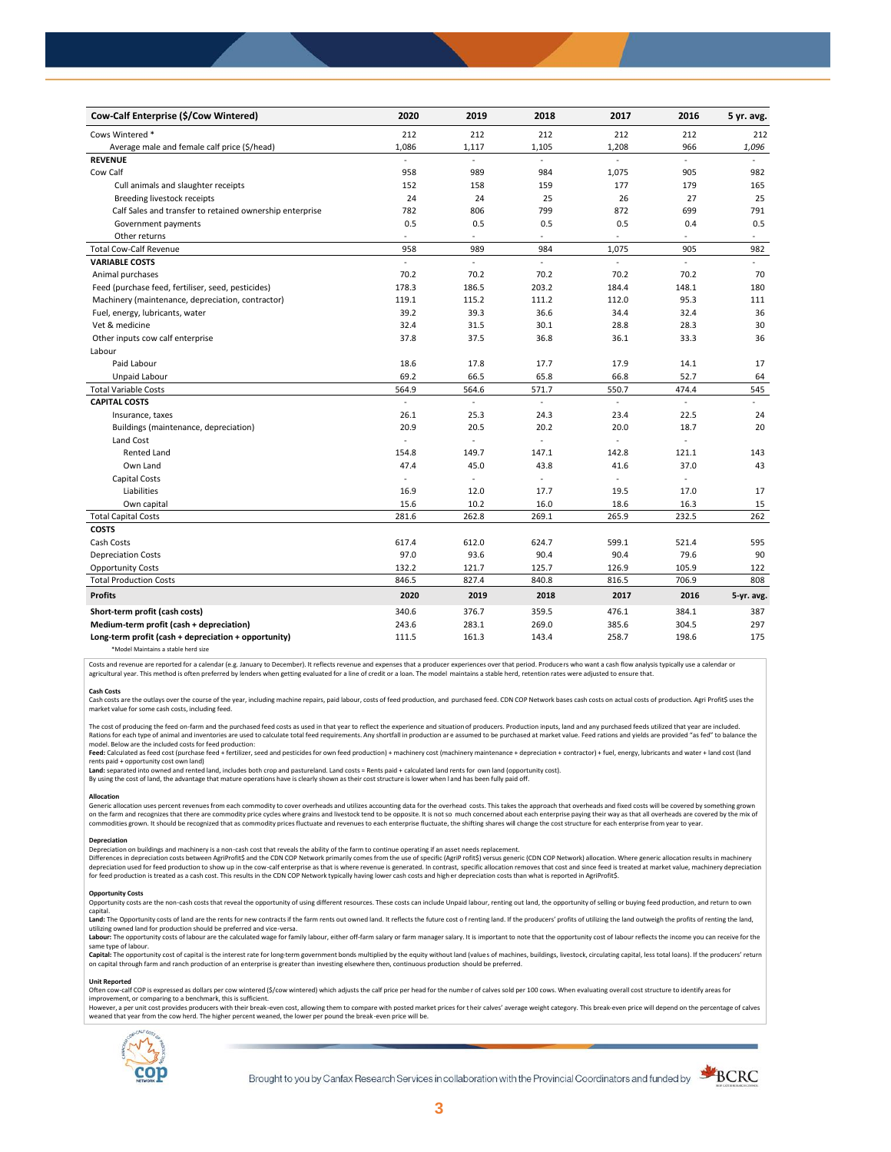| Cow-Calf Enterprise (\$/Cow Wintered)                    | 2020     | 2019                     | 2018           | 2017           | 2016           | 5 yr. avg.   |
|----------------------------------------------------------|----------|--------------------------|----------------|----------------|----------------|--------------|
| Cows Wintered *                                          | 212      | 212                      | 212            | 212            | 212            | 212          |
| Average male and female calf price (\$/head)             | 1,086    | 1,117                    | 1,105          | 1,208          | 966            | 1,096        |
| <b>REVENUE</b>                                           |          | L.                       | $\overline{a}$ |                |                |              |
| Cow Calf                                                 | 958      | 989                      | 984            | 1,075          | 905            | 982          |
| Cull animals and slaughter receipts                      | 152      | 158                      | 159            | 177            | 179            | 165          |
| Breeding livestock receipts                              | 24       | 24                       | 25             | 26             | 27             | 25           |
| Calf Sales and transfer to retained ownership enterprise | 782      | 806                      | 799            | 872            | 699            | 791          |
| Government payments                                      | 0.5      | 0.5                      | 0.5            | 0.5            | 0.4            | 0.5          |
| Other returns                                            | $\sim$   | $\blacksquare$           | $\sim$         | $\blacksquare$ | $\sim$         | $\equiv$     |
| <b>Total Cow-Calf Revenue</b>                            | 958      | 989                      | 984            | 1,075          | 905            | 982          |
| <b>VARIABLE COSTS</b>                                    | ÷        | ä,                       | ÷.             | L,             | $\sim$         | $\mathbf{r}$ |
| Animal purchases                                         | 70.2     | 70.2                     | 70.2           | 70.2           | 70.2           | 70           |
| Feed (purchase feed, fertiliser, seed, pesticides)       | 178.3    | 186.5                    | 203.2          | 184.4          | 148.1          | 180          |
| Machinery (maintenance, depreciation, contractor)        | 119.1    | 115.2                    | 111.2          | 112.0          | 95.3           | 111          |
| Fuel, energy, lubricants, water                          | 39.2     | 39.3                     | 36.6           | 34.4           | 32.4           | 36           |
| Vet & medicine                                           | 32.4     | 31.5                     | 30.1           | 28.8           | 28.3           | 30           |
| Other inputs cow calf enterprise                         | 37.8     | 37.5                     | 36.8           | 36.1           | 33.3           | 36           |
| Labour                                                   |          |                          |                |                |                |              |
| Paid Labour                                              | 18.6     | 17.8                     | 17.7           | 17.9           | 14.1           | 17           |
| Unpaid Labour                                            | 69.2     | 66.5                     | 65.8           | 66.8           | 52.7           | 64           |
| <b>Total Variable Costs</b>                              | 564.9    | 564.6                    | 571.7          | 550.7          | 474.4          | 545          |
| <b>CAPITAL COSTS</b>                                     | $\omega$ | $\mathcal{L}$            | $\blacksquare$ | $\omega$       | $\overline{a}$ | $\mathbf{r}$ |
| Insurance, taxes                                         | 26.1     | 25.3                     | 24.3           | 23.4           | 22.5           | 24           |
| Buildings (maintenance, depreciation)                    | 20.9     | 20.5                     | 20.2           | 20.0           | 18.7           | 20           |
| Land Cost                                                | ÷,       |                          | ä,             | ä,             | ÷,             |              |
| <b>Rented Land</b>                                       | 154.8    | 149.7                    | 147.1          | 142.8          | 121.1          | 143          |
| Own Land                                                 | 47.4     | 45.0                     | 43.8           | 41.6           | 37.0           | 43           |
| Capital Costs                                            | $\sim$   | $\overline{\phantom{a}}$ | $\sim$         | $\overline{a}$ | ÷.             |              |
| Liabilities                                              | 16.9     | 12.0                     | 17.7           | 19.5           | 17.0           | 17           |
| Own capital                                              | 15.6     | 10.2                     | 16.0           | 18.6           | 16.3           | 15           |
| <b>Total Capital Costs</b>                               | 281.6    | 262.8                    | 269.1          | 265.9          | 232.5          | 262          |
| <b>COSTS</b>                                             |          |                          |                |                |                |              |
| Cash Costs                                               | 617.4    | 612.0                    | 624.7          | 599.1          | 521.4          | 595          |
| <b>Depreciation Costs</b>                                | 97.0     | 93.6                     | 90.4           | 90.4           | 79.6           | 90           |
| <b>Opportunity Costs</b>                                 | 132.2    | 121.7                    | 125.7          | 126.9          | 105.9          | 122          |
| <b>Total Production Costs</b>                            | 846.5    | 827.4                    | 840.8          | 816.5          | 706.9          | 808          |
| <b>Profits</b>                                           | 2020     | 2019                     | 2018           | 2017           | 2016           | 5-yr. avg.   |
| Short-term profit (cash costs)                           | 340.6    | 376.7                    | 359.5          | 476.1          | 384.1          | 387          |
| Medium-term profit (cash + depreciation)                 | 243.6    | 283.1                    | 269.0          | 385.6          | 304.5          | 297          |
| Long-term profit (cash + depreciation + opportunity)     | 111.5    | 161.3                    | 143.4          | 258.7          | 198.6          | 175          |
| *Model Maintains a stable herd size                      |          |                          |                |                |                |              |

Costs and revenue are reported for a calendar (e.g. January to December). It reflects revenue and expenses that a producer experiences over that period. Producers who want a cash flow analysis typically use a calendar or agricultural year. This method is often preferred by lenders when getting evaluated for a line of credit or a loan. The model maintains a stable herd, retention rates were adjusted to ensure that

C<mark>ash Costs</mark><br>Cash costs are the outlays over the course of the year, including machine repairs, paid labour, costs of feed production, and purchased feed. CDN COP Network bases cash costs on actual costs of production. Agr market value for some cash costs, including feed.

The cost of producing the feed on-farm and the purchased feed costs as used in that year to reflect the experience and situation of producers. Production inputs, land and any purchased feeds utilized that year are included model. Below are the included costs for feed production:

#### moder.outwhat was made used to receip would continuour.<br>**Feed:** Calculated as feed cost (purchase feed + fertilizer, seed and pesticides for own feed production) + machinery cost (machinery maintenance + depreciation + con rents paid + opportunity cost own land)

**Land:** separated into owned and rented land, includes both crop and pastureland. Land costs = Rents paid + calculated land rents for own land (opportunity cost).

By using the cost of land, the advantage that mature operations have is clearly shown as their cost structure is lower when l and has been fully paid off.

### **Allocation**

Generic allocation uses percent revenues from each commodity to cover overheads and utilizes accounting data for the overhead costs. This takes the approach that overheads and fixed costs will be covered by something grown commodities grown. It should be recognized that as commodity prices fluctuate and revenues to each enterprise fluctuate, the shifting shares will change the cost structure for each enterprise from year to year.

## **Depreciation**

Depreciation on buildings and machinery is a non-cash cost that reveals the ability of the farm to continue operating if an asset needs replacement. Differences in depreciation costs between AgriProfit\$ and the CDN COP Network primarily comes from the use of specific (AgriP rofit\$) versus generic (CDN COP Network) allocation. Where generic allocation results in machine

#### **Opportunity Costs**

Provincing COSS are the non-cash costs that reveal the opportunity of using different resources. These costs can include Unpaid labour, renting out land, the opportunity of selling or buying feed production, and return to capital.

required.<br>Land: The Opportunity costs of land are the rents for new contracts if the farm rents out owned land. It reflects the future cost of renting land. If the producers' profits of utilizing the land outweigh the prof utilizing owned land for production should be preferred and vice-versa.<br>**Labour:** The opportunity costs of labour are the calculated wage for family labour, either off-farm salary or farm manager salary. It is important to

same type of labour.

**Capita**l: The opportunity cost of capital is the interest rate for long-term government bonds multiplied by the equity without land (values of machines, buildings, livestock, circulating capital, less total loans). If the

#### **Unit Reported**

Often cow-calf COP is expressed as dollars per cow wintered (\$/cow wintered) which adjusts the calf price per head for the number of calves sold per 100 cows. When evaluating overall cost structure to identify areas for<br>im

however..export of the structure with the structure of the break-even cost. allowing them to compare with posted market prices for their calves' average weight category. This break-even price will depend on the percentage weaned that year from the cow herd. The higher percent weaned, the lower per pound the break -even price will be.



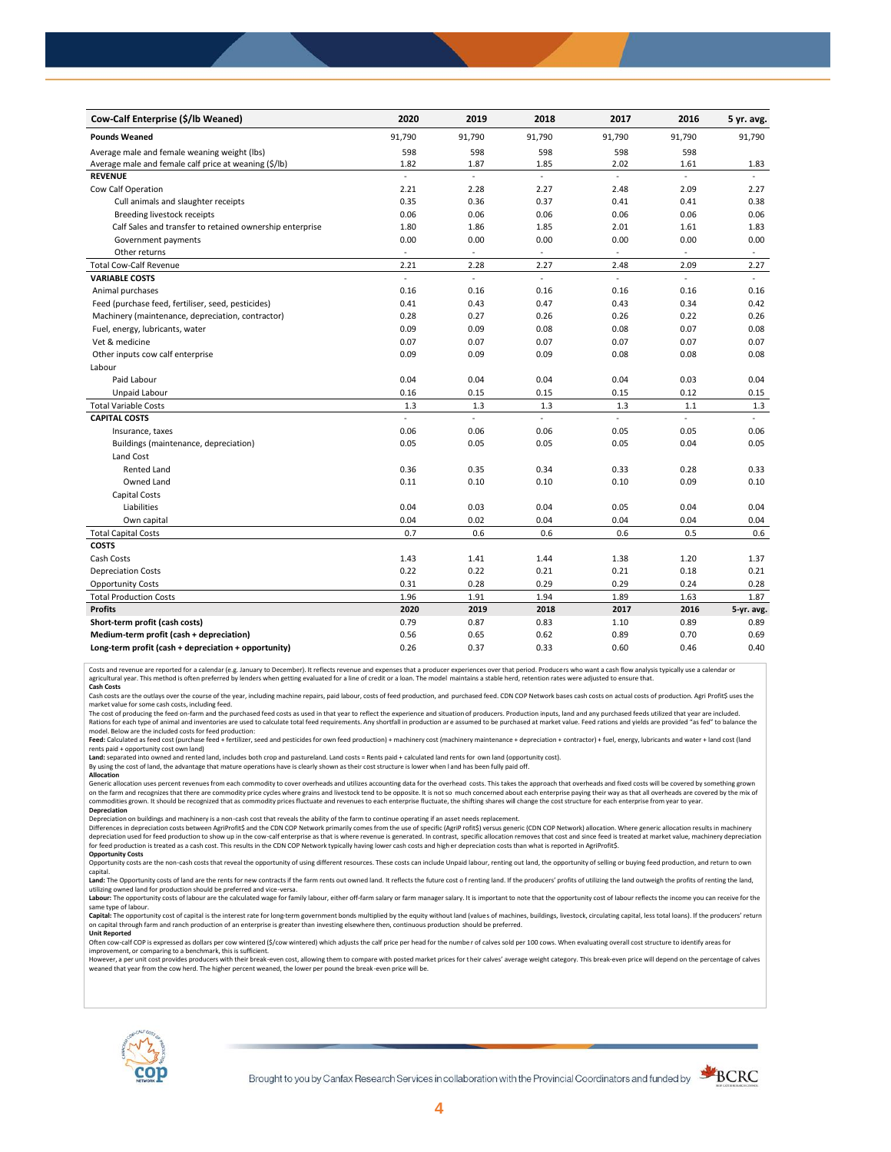| Cow-Calf Enterprise (\$/lb Weaned)                       | 2020                     | 2019                     | 2018                | 2017                     | 2016                     | 5 yr. avg.               |
|----------------------------------------------------------|--------------------------|--------------------------|---------------------|--------------------------|--------------------------|--------------------------|
| <b>Pounds Weaned</b>                                     | 91,790                   | 91,790                   | 91,790              | 91,790                   | 91,790                   | 91,790                   |
| Average male and female weaning weight (lbs)             | 598                      | 598                      | 598                 | 598                      | 598                      |                          |
| Average male and female calf price at weaning (\$/lb)    | 1.82                     | 1.87                     | 1.85                | 2.02                     | 1.61                     | 1.83                     |
| <b>REVENUE</b>                                           | $\mathcal{L}$            | ä,                       | ä,                  | ä,                       | $\mathcal{L}$            |                          |
| Cow Calf Operation                                       | 2.21                     | 2.28                     | 2.27                | 2.48                     | 2.09                     | 2.27                     |
| Cull animals and slaughter receipts                      | 0.35                     | 0.36                     | 0.37                | 0.41                     | 0.41                     | 0.38                     |
| Breeding livestock receipts                              | 0.06                     | 0.06                     | 0.06                | 0.06                     | 0.06                     | 0.06                     |
| Calf Sales and transfer to retained ownership enterprise | 1.80                     | 1.86                     | 1.85                | 2.01                     | 1.61                     | 1.83                     |
| Government payments                                      | 0.00                     | 0.00                     | 0.00                | 0.00                     | 0.00                     | 0.00                     |
| Other returns                                            | $\sim$                   | $\overline{\phantom{a}}$ | $\sim$              | $\overline{\phantom{a}}$ | ٠                        | $\overline{\phantom{a}}$ |
| <b>Total Cow-Calf Revenue</b>                            | 2.21                     | 2.28                     | 2.27                | 2.48                     | 2.09                     | 2.27                     |
| <b>VARIABLE COSTS</b>                                    | $\overline{\phantom{a}}$ | ä,                       | $\blacksquare$      | L.                       | $\overline{\phantom{a}}$ | $\sim$                   |
| Animal purchases                                         | 0.16                     | 0.16                     | 0.16                | 0.16                     | 0.16                     | 0.16                     |
| Feed (purchase feed, fertiliser, seed, pesticides)       | 0.41                     | 0.43                     | 0.47                | 0.43                     | 0.34                     | 0.42                     |
| Machinery (maintenance, depreciation, contractor)        | 0.28                     | 0.27                     | 0.26                | 0.26                     | 0.22                     | 0.26                     |
| Fuel, energy, lubricants, water                          | 0.09                     | 0.09                     | 0.08                | 0.08                     | 0.07                     | 0.08                     |
| Vet & medicine                                           | 0.07                     | 0.07                     | 0.07                | 0.07                     | 0.07                     | 0.07                     |
| Other inputs cow calf enterprise                         | 0.09                     | 0.09                     | 0.09                | 0.08                     | 0.08                     | 0.08                     |
| Labour                                                   |                          |                          |                     |                          |                          |                          |
| Paid Labour                                              | 0.04                     | 0.04                     | 0.04                | 0.04                     | 0.03                     | 0.04                     |
| Unpaid Labour                                            | 0.16                     | 0.15                     | 0.15                | 0.15                     | 0.12                     | 0.15                     |
| <b>Total Variable Costs</b>                              | 1.3                      | 1.3                      | 1.3                 | 1.3                      | 1.1                      | 1.3                      |
| <b>CAPITAL COSTS</b>                                     | $\overline{a}$           | $\overline{a}$           | $\bar{\phantom{a}}$ | ä,                       | L.                       |                          |
| Insurance, taxes                                         | 0.06                     | 0.06                     | 0.06                | 0.05                     | 0.05                     | 0.06                     |
| Buildings (maintenance, depreciation)                    | 0.05                     | 0.05                     | 0.05                | 0.05                     | 0.04                     | 0.05                     |
| Land Cost                                                |                          |                          |                     |                          |                          |                          |
| <b>Rented Land</b>                                       | 0.36                     | 0.35                     | 0.34                | 0.33                     | 0.28                     | 0.33                     |
| Owned Land                                               | 0.11                     | 0.10                     | 0.10                | 0.10                     | 0.09                     | 0.10                     |
| <b>Capital Costs</b>                                     |                          |                          |                     |                          |                          |                          |
| Liabilities                                              | 0.04                     | 0.03                     | 0.04                | 0.05                     | 0.04                     | 0.04                     |
| Own capital                                              | 0.04                     | 0.02                     | 0.04                | 0.04                     | 0.04                     | 0.04                     |
| <b>Total Capital Costs</b>                               | 0.7                      | 0.6                      | 0.6                 | 0.6                      | 0.5                      | 0.6                      |
| <b>COSTS</b>                                             |                          |                          |                     |                          |                          |                          |
| Cash Costs                                               | 1.43                     | 1.41                     | 1.44                | 1.38                     | 1.20                     | 1.37                     |
| <b>Depreciation Costs</b>                                | 0.22                     | 0.22                     | 0.21                | 0.21                     | 0.18                     | 0.21                     |
| <b>Opportunity Costs</b>                                 | 0.31                     | 0.28                     | 0.29                | 0.29                     | 0.24                     | 0.28                     |
| <b>Total Production Costs</b>                            | 1.96                     | 1.91                     | 1.94                | 1.89                     | 1.63                     | 1.87                     |
| <b>Profits</b>                                           | 2020                     | 2019                     | 2018                | 2017                     | 2016                     | 5-yr. avg.               |
| Short-term profit (cash costs)                           | 0.79                     | 0.87                     | 0.83                | 1.10                     | 0.89                     | 0.89                     |
| Medium-term profit (cash + depreciation)                 | 0.56                     | 0.65                     | 0.62                | 0.89                     | 0.70                     | 0.69                     |
| Long-term profit (cash + depreciation + opportunity)     | 0.26                     | 0.37                     | 0.33                | 0.60                     | 0.46                     | 0.40                     |

Costs and revenue are reported for a calendar (e.g. January to December). It reflects revenue and expenses that a producer experiences over that period. Producers who want a cash flow analysis typically use a calendar or<br>a

cash costs are the outlays over the course of the year, including machine repairs, paid labour, costs of feed production, and purchased feed. CDN COP Network bases cash costs on actual costs of production. Agri Profit\$ use

market value for some cash costs, including feed.

The cost of producing the feed on-farm and the purchased feed costs as used in that year to reflect the experience and situation of producers. Production inputs, land and any purchased feeds utilized that year are included model. Below are the included costs for feed production:

Feed: Calculated as feed cost (purchase feed + fertilizer, seed and pesticides for own feed production) + machinery cost (machinery maintenance + depreciation + contractor) + fuel, energy, lubricants and water + land cost

Land: separated into owned and rented land, includes both crop and pastureland. Land costs = Rents paid + calculated land rents for own land (opportunity cost).

By using the cost of land, the advantage that mature operations have is clearly shown as their cost structure is lower when l and has been fully paid off. **Allocation**

Generic allocation uses percent revenues from each commodity to cover overheads and utilizes accounting data for the overhead costs. This takes the approach that overheads and fixed costs will be covered by something grown on the farm and recognizes that there are commodity price cycles where grains and livestock tend to be opposite. It is not so much concerned about each enterprise paying their way as that all overheads are covered by the m **Depreciation**

Depreciation on buildings and machinery is a non-cash cost that reveals the ability of the farm to continue operating if an asset needs replacement.

Differences in depreciation costs between AgriProfit\$ and the CDN COP Network primarily comes from the use of specific (AgriP rofit\$) versus generic (CDN COP Network) allocation. Where generic allocation results in machine

## **Opportunity Costs**

Opportunity costs are the non-cash costs that reveal the opportunity of using different resources. These costs can include Unpaid labour, renting out land, the opportunity of selling or buying feed production, and return t Land: The Opportunity costs of land are the rents for new contracts if the farm rents out owned land. It reflects the future cost of renting land. If the producers' profits of utilizing the land outweigh the profits of ren

utilizing owned land for production should be preferred and vice-versa.<br>**Labour:** The opportunity costs of labour are the calculated wage for family labour, either off-farm salary or farm manager salary. It is important to same type of labour.

Capital: The opportunity cost of capital is the interest rate for long-term government bonds multiplied by the equity without land (values of machines, buildings, livestock, circulating capital, less total loans). If the p on capital through farm and ranch production of an enterprise is greater than investing elsewhere then, continuous production should be preferred. **Unit Reported**

Often cow-calf COP is expressed as dollars per cow wintered (\$/cow wintered) which adjusts the calf price per head for the numbe r of calves sold per 100 cows. When evaluating overall cost structure to identify areas for

improvement, or comparing to a benchmark, this is sufficient.<br>However, a per unit cost provides producers with their break-even cost, allowing them to compare with posted market prices for their calves' average weight cate weaned that year from the cow herd. The higher percent weaned, the lower per pound the break -even price will be.



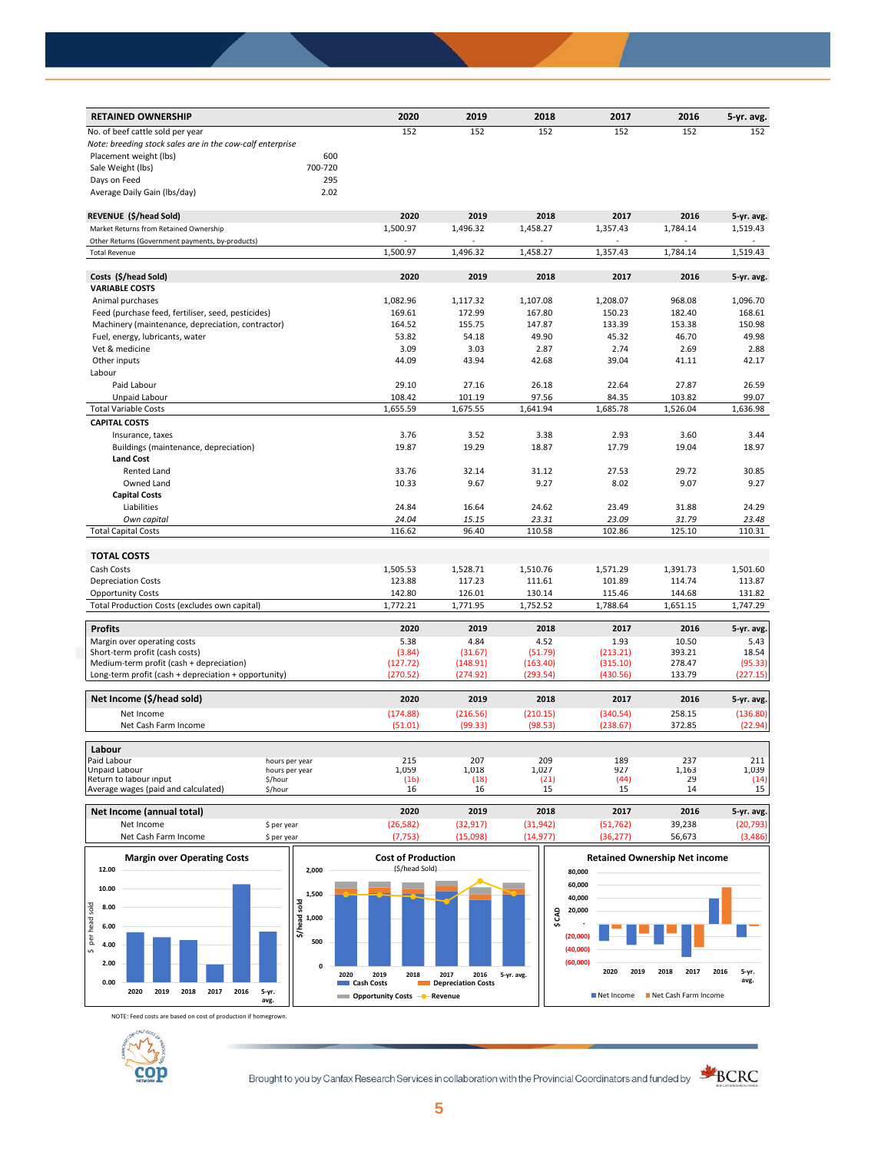| 152<br>152<br>152<br>152<br>152<br>152<br>No. of beef cattle sold per year<br>Note: breeding stock sales are in the cow-calf enterprise<br>Placement weight (lbs)<br>600<br>Sale Weight (lbs)<br>700-720<br>295<br>Days on Feed<br>Average Daily Gain (Ibs/day)<br>2.02<br>2020<br>REVENUE (\$/head Sold)<br>2019<br>2018<br>2017<br>2016<br>5-yr. avg.<br>1,500.97<br>1,519.43<br>Market Returns from Retained Ownership<br>1,496.32<br>1,458.27<br>1,357.43<br>1,784.14<br>Other Returns (Government payments, by-products)<br>$\overline{a}$<br>1,500.97<br>1,496.32<br>1,458.27<br>1,357.43<br>1,784.14<br>1,519.43<br><b>Total Revenue</b><br>Costs (\$/head Sold)<br>2020<br>2019<br>2018<br>2017<br>2016<br>5-yr. avg.<br><b>VARIABLE COSTS</b><br>1,082.96<br>1,117.32<br>1,107.08<br>1,208.07<br>968.08<br>1,096.70<br>Animal purchases<br>Feed (purchase feed, fertiliser, seed, pesticides)<br>169.61<br>172.99<br>167.80<br>150.23<br>182.40<br>168.61<br>164.52<br>155.75<br>147.87<br>133.39<br>153.38<br>150.98<br>Machinery (maintenance, depreciation, contractor)<br>53.82<br>54.18<br>49.90<br>45.32<br>46.70<br>49.98<br>Fuel, energy, lubricants, water<br>Vet & medicine<br>3.09<br>3.03<br>2.87<br>2.74<br>2.69<br>2.88<br>Other inputs<br>44.09<br>43.94<br>42.68<br>39.04<br>41.11<br>42.17<br>Labour<br>Paid Labour<br>29.10<br>27.16<br>26.18<br>22.64<br>27.87<br>26.59<br>Unpaid Labour<br>108.42<br>101.19<br>97.56<br>103.82<br>99.07<br>84.35<br>1,655.59<br>1,675.55<br>1,641.94<br>1,685.78<br>1,526.04<br>1,636.98<br><b>Total Variable Costs</b><br><b>CAPITAL COSTS</b><br>Insurance, taxes<br>3.76<br>3.52<br>3.38<br>2.93<br>3.60<br>3.44<br>19.87<br>19.29<br>18.87<br>17.79<br>19.04<br>18.97<br>Buildings (maintenance, depreciation)<br><b>Land Cost</b><br>33.76<br>32.14<br>31.12<br>27.53<br>29.72<br>30.85<br>Rented Land<br>Owned Land<br>10.33<br>9.67<br>9.27<br>8.02<br>9.07<br>9.27<br><b>Capital Costs</b><br>24.84<br>Liabilities<br>16.64<br>24.62<br>23.49<br>31.88<br>24.29<br>Own capital<br>24.04<br>15.15<br>23.31<br>23.09<br>31.79<br>23.48<br>116.62<br>96.40<br>110.58<br>102.86<br>125.10<br>110.31<br><b>Total Capital Costs</b><br><b>TOTAL COSTS</b><br>Cash Costs<br>1,505.53<br>1,528.71<br>1,510.76<br>1,571.29<br>1,391.73<br>1,501.60<br><b>Depreciation Costs</b><br>123.88<br>117.23<br>111.61<br>101.89<br>114.74<br>113.87<br><b>Opportunity Costs</b><br>142.80<br>126.01<br>130.14<br>115.46<br>144.68<br>131.82<br>Total Production Costs (excludes own capital)<br>1,772.21<br>1,771.95<br>1,752.52<br>1,788.64<br>1,651.15<br>1,747.29<br><b>Profits</b><br>2020<br>2019<br>2018<br>2017<br>2016<br>5-yr. avg.<br>4.84<br>1.93<br>10.50<br>Margin over operating costs<br>5.38<br>4.52<br>5.43<br>(213.21)<br>393.21<br>18.54<br>Short-term profit (cash costs)<br>(3.84)<br>(31.67)<br>(51.79)<br>Medium-term profit (cash + depreciation)<br>278.47<br>(127.72)<br>(148.91)<br>(163.40)<br>(315.10)<br>(95.33)<br>Long-term profit (cash + depreciation + opportunity)<br>(270.52)<br>(274.92)<br>(293.54)<br>(430.56)<br>133.79<br>(227.15)<br>Net Income (\$/head sold)<br>2020<br>2019<br>2018<br>2017<br>2016<br>5-yr. avg.<br>258.15<br>Net Income<br>(174.88)<br>(216.56)<br>(210.15)<br>(340.54)<br>(136.80)<br>(51.01)<br>(99.33)<br>(98.53)<br>(238.67)<br>372.85<br>(22.94)<br>Net Cash Farm Income<br>Labour<br>215<br>207<br>209<br>189<br>237<br>211<br>Paid Labour<br>hours per year<br>1,059<br>1,039<br>Unpaid Labour<br>1,018<br>1,027<br>927<br>1,163<br>hours per year<br>(44)<br>29<br>(14)<br>Return to labour input<br>(16)<br>(18)<br>(21)<br>\$/hour<br>15<br>14<br>15<br>Average wages (paid and calculated)<br>\$/hour<br>16<br>16<br>15 | <b>RETAINED OWNERSHIP</b> | 2020 | 2019 | 2018 | 2017 | 2016 | 5-yr. avg. |
|--------------------------------------------------------------------------------------------------------------------------------------------------------------------------------------------------------------------------------------------------------------------------------------------------------------------------------------------------------------------------------------------------------------------------------------------------------------------------------------------------------------------------------------------------------------------------------------------------------------------------------------------------------------------------------------------------------------------------------------------------------------------------------------------------------------------------------------------------------------------------------------------------------------------------------------------------------------------------------------------------------------------------------------------------------------------------------------------------------------------------------------------------------------------------------------------------------------------------------------------------------------------------------------------------------------------------------------------------------------------------------------------------------------------------------------------------------------------------------------------------------------------------------------------------------------------------------------------------------------------------------------------------------------------------------------------------------------------------------------------------------------------------------------------------------------------------------------------------------------------------------------------------------------------------------------------------------------------------------------------------------------------------------------------------------------------------------------------------------------------------------------------------------------------------------------------------------------------------------------------------------------------------------------------------------------------------------------------------------------------------------------------------------------------------------------------------------------------------------------------------------------------------------------------------------------------------------------------------------------------------------------------------------------------------------------------------------------------------------------------------------------------------------------------------------------------------------------------------------------------------------------------------------------------------------------------------------------------------------------------------------------------------------------------------------------------------------------------------------------------------------------------------------------------------------------------------------------------------------------------------------------------------------------------------------------------------------------------------------------------------------------------------------------------------------------------------------------------------------------------------------------------------------------------------------------------------------------------------------------------------------------------------------------------------------------------------------------------------------------------------------|---------------------------|------|------|------|------|------|------------|
|                                                                                                                                                                                                                                                                                                                                                                                                                                                                                                                                                                                                                                                                                                                                                                                                                                                                                                                                                                                                                                                                                                                                                                                                                                                                                                                                                                                                                                                                                                                                                                                                                                                                                                                                                                                                                                                                                                                                                                                                                                                                                                                                                                                                                                                                                                                                                                                                                                                                                                                                                                                                                                                                                                                                                                                                                                                                                                                                                                                                                                                                                                                                                                                                                                                                                                                                                                                                                                                                                                                                                                                                                                                                                                                                                        |                           |      |      |      |      |      |            |
|                                                                                                                                                                                                                                                                                                                                                                                                                                                                                                                                                                                                                                                                                                                                                                                                                                                                                                                                                                                                                                                                                                                                                                                                                                                                                                                                                                                                                                                                                                                                                                                                                                                                                                                                                                                                                                                                                                                                                                                                                                                                                                                                                                                                                                                                                                                                                                                                                                                                                                                                                                                                                                                                                                                                                                                                                                                                                                                                                                                                                                                                                                                                                                                                                                                                                                                                                                                                                                                                                                                                                                                                                                                                                                                                                        |                           |      |      |      |      |      |            |
|                                                                                                                                                                                                                                                                                                                                                                                                                                                                                                                                                                                                                                                                                                                                                                                                                                                                                                                                                                                                                                                                                                                                                                                                                                                                                                                                                                                                                                                                                                                                                                                                                                                                                                                                                                                                                                                                                                                                                                                                                                                                                                                                                                                                                                                                                                                                                                                                                                                                                                                                                                                                                                                                                                                                                                                                                                                                                                                                                                                                                                                                                                                                                                                                                                                                                                                                                                                                                                                                                                                                                                                                                                                                                                                                                        |                           |      |      |      |      |      |            |
|                                                                                                                                                                                                                                                                                                                                                                                                                                                                                                                                                                                                                                                                                                                                                                                                                                                                                                                                                                                                                                                                                                                                                                                                                                                                                                                                                                                                                                                                                                                                                                                                                                                                                                                                                                                                                                                                                                                                                                                                                                                                                                                                                                                                                                                                                                                                                                                                                                                                                                                                                                                                                                                                                                                                                                                                                                                                                                                                                                                                                                                                                                                                                                                                                                                                                                                                                                                                                                                                                                                                                                                                                                                                                                                                                        |                           |      |      |      |      |      |            |
|                                                                                                                                                                                                                                                                                                                                                                                                                                                                                                                                                                                                                                                                                                                                                                                                                                                                                                                                                                                                                                                                                                                                                                                                                                                                                                                                                                                                                                                                                                                                                                                                                                                                                                                                                                                                                                                                                                                                                                                                                                                                                                                                                                                                                                                                                                                                                                                                                                                                                                                                                                                                                                                                                                                                                                                                                                                                                                                                                                                                                                                                                                                                                                                                                                                                                                                                                                                                                                                                                                                                                                                                                                                                                                                                                        |                           |      |      |      |      |      |            |
|                                                                                                                                                                                                                                                                                                                                                                                                                                                                                                                                                                                                                                                                                                                                                                                                                                                                                                                                                                                                                                                                                                                                                                                                                                                                                                                                                                                                                                                                                                                                                                                                                                                                                                                                                                                                                                                                                                                                                                                                                                                                                                                                                                                                                                                                                                                                                                                                                                                                                                                                                                                                                                                                                                                                                                                                                                                                                                                                                                                                                                                                                                                                                                                                                                                                                                                                                                                                                                                                                                                                                                                                                                                                                                                                                        |                           |      |      |      |      |      |            |
|                                                                                                                                                                                                                                                                                                                                                                                                                                                                                                                                                                                                                                                                                                                                                                                                                                                                                                                                                                                                                                                                                                                                                                                                                                                                                                                                                                                                                                                                                                                                                                                                                                                                                                                                                                                                                                                                                                                                                                                                                                                                                                                                                                                                                                                                                                                                                                                                                                                                                                                                                                                                                                                                                                                                                                                                                                                                                                                                                                                                                                                                                                                                                                                                                                                                                                                                                                                                                                                                                                                                                                                                                                                                                                                                                        |                           |      |      |      |      |      |            |
|                                                                                                                                                                                                                                                                                                                                                                                                                                                                                                                                                                                                                                                                                                                                                                                                                                                                                                                                                                                                                                                                                                                                                                                                                                                                                                                                                                                                                                                                                                                                                                                                                                                                                                                                                                                                                                                                                                                                                                                                                                                                                                                                                                                                                                                                                                                                                                                                                                                                                                                                                                                                                                                                                                                                                                                                                                                                                                                                                                                                                                                                                                                                                                                                                                                                                                                                                                                                                                                                                                                                                                                                                                                                                                                                                        |                           |      |      |      |      |      |            |
|                                                                                                                                                                                                                                                                                                                                                                                                                                                                                                                                                                                                                                                                                                                                                                                                                                                                                                                                                                                                                                                                                                                                                                                                                                                                                                                                                                                                                                                                                                                                                                                                                                                                                                                                                                                                                                                                                                                                                                                                                                                                                                                                                                                                                                                                                                                                                                                                                                                                                                                                                                                                                                                                                                                                                                                                                                                                                                                                                                                                                                                                                                                                                                                                                                                                                                                                                                                                                                                                                                                                                                                                                                                                                                                                                        |                           |      |      |      |      |      |            |
|                                                                                                                                                                                                                                                                                                                                                                                                                                                                                                                                                                                                                                                                                                                                                                                                                                                                                                                                                                                                                                                                                                                                                                                                                                                                                                                                                                                                                                                                                                                                                                                                                                                                                                                                                                                                                                                                                                                                                                                                                                                                                                                                                                                                                                                                                                                                                                                                                                                                                                                                                                                                                                                                                                                                                                                                                                                                                                                                                                                                                                                                                                                                                                                                                                                                                                                                                                                                                                                                                                                                                                                                                                                                                                                                                        |                           |      |      |      |      |      |            |
|                                                                                                                                                                                                                                                                                                                                                                                                                                                                                                                                                                                                                                                                                                                                                                                                                                                                                                                                                                                                                                                                                                                                                                                                                                                                                                                                                                                                                                                                                                                                                                                                                                                                                                                                                                                                                                                                                                                                                                                                                                                                                                                                                                                                                                                                                                                                                                                                                                                                                                                                                                                                                                                                                                                                                                                                                                                                                                                                                                                                                                                                                                                                                                                                                                                                                                                                                                                                                                                                                                                                                                                                                                                                                                                                                        |                           |      |      |      |      |      |            |
|                                                                                                                                                                                                                                                                                                                                                                                                                                                                                                                                                                                                                                                                                                                                                                                                                                                                                                                                                                                                                                                                                                                                                                                                                                                                                                                                                                                                                                                                                                                                                                                                                                                                                                                                                                                                                                                                                                                                                                                                                                                                                                                                                                                                                                                                                                                                                                                                                                                                                                                                                                                                                                                                                                                                                                                                                                                                                                                                                                                                                                                                                                                                                                                                                                                                                                                                                                                                                                                                                                                                                                                                                                                                                                                                                        |                           |      |      |      |      |      |            |
|                                                                                                                                                                                                                                                                                                                                                                                                                                                                                                                                                                                                                                                                                                                                                                                                                                                                                                                                                                                                                                                                                                                                                                                                                                                                                                                                                                                                                                                                                                                                                                                                                                                                                                                                                                                                                                                                                                                                                                                                                                                                                                                                                                                                                                                                                                                                                                                                                                                                                                                                                                                                                                                                                                                                                                                                                                                                                                                                                                                                                                                                                                                                                                                                                                                                                                                                                                                                                                                                                                                                                                                                                                                                                                                                                        |                           |      |      |      |      |      |            |
|                                                                                                                                                                                                                                                                                                                                                                                                                                                                                                                                                                                                                                                                                                                                                                                                                                                                                                                                                                                                                                                                                                                                                                                                                                                                                                                                                                                                                                                                                                                                                                                                                                                                                                                                                                                                                                                                                                                                                                                                                                                                                                                                                                                                                                                                                                                                                                                                                                                                                                                                                                                                                                                                                                                                                                                                                                                                                                                                                                                                                                                                                                                                                                                                                                                                                                                                                                                                                                                                                                                                                                                                                                                                                                                                                        |                           |      |      |      |      |      |            |
|                                                                                                                                                                                                                                                                                                                                                                                                                                                                                                                                                                                                                                                                                                                                                                                                                                                                                                                                                                                                                                                                                                                                                                                                                                                                                                                                                                                                                                                                                                                                                                                                                                                                                                                                                                                                                                                                                                                                                                                                                                                                                                                                                                                                                                                                                                                                                                                                                                                                                                                                                                                                                                                                                                                                                                                                                                                                                                                                                                                                                                                                                                                                                                                                                                                                                                                                                                                                                                                                                                                                                                                                                                                                                                                                                        |                           |      |      |      |      |      |            |
|                                                                                                                                                                                                                                                                                                                                                                                                                                                                                                                                                                                                                                                                                                                                                                                                                                                                                                                                                                                                                                                                                                                                                                                                                                                                                                                                                                                                                                                                                                                                                                                                                                                                                                                                                                                                                                                                                                                                                                                                                                                                                                                                                                                                                                                                                                                                                                                                                                                                                                                                                                                                                                                                                                                                                                                                                                                                                                                                                                                                                                                                                                                                                                                                                                                                                                                                                                                                                                                                                                                                                                                                                                                                                                                                                        |                           |      |      |      |      |      |            |
|                                                                                                                                                                                                                                                                                                                                                                                                                                                                                                                                                                                                                                                                                                                                                                                                                                                                                                                                                                                                                                                                                                                                                                                                                                                                                                                                                                                                                                                                                                                                                                                                                                                                                                                                                                                                                                                                                                                                                                                                                                                                                                                                                                                                                                                                                                                                                                                                                                                                                                                                                                                                                                                                                                                                                                                                                                                                                                                                                                                                                                                                                                                                                                                                                                                                                                                                                                                                                                                                                                                                                                                                                                                                                                                                                        |                           |      |      |      |      |      |            |
|                                                                                                                                                                                                                                                                                                                                                                                                                                                                                                                                                                                                                                                                                                                                                                                                                                                                                                                                                                                                                                                                                                                                                                                                                                                                                                                                                                                                                                                                                                                                                                                                                                                                                                                                                                                                                                                                                                                                                                                                                                                                                                                                                                                                                                                                                                                                                                                                                                                                                                                                                                                                                                                                                                                                                                                                                                                                                                                                                                                                                                                                                                                                                                                                                                                                                                                                                                                                                                                                                                                                                                                                                                                                                                                                                        |                           |      |      |      |      |      |            |
|                                                                                                                                                                                                                                                                                                                                                                                                                                                                                                                                                                                                                                                                                                                                                                                                                                                                                                                                                                                                                                                                                                                                                                                                                                                                                                                                                                                                                                                                                                                                                                                                                                                                                                                                                                                                                                                                                                                                                                                                                                                                                                                                                                                                                                                                                                                                                                                                                                                                                                                                                                                                                                                                                                                                                                                                                                                                                                                                                                                                                                                                                                                                                                                                                                                                                                                                                                                                                                                                                                                                                                                                                                                                                                                                                        |                           |      |      |      |      |      |            |
|                                                                                                                                                                                                                                                                                                                                                                                                                                                                                                                                                                                                                                                                                                                                                                                                                                                                                                                                                                                                                                                                                                                                                                                                                                                                                                                                                                                                                                                                                                                                                                                                                                                                                                                                                                                                                                                                                                                                                                                                                                                                                                                                                                                                                                                                                                                                                                                                                                                                                                                                                                                                                                                                                                                                                                                                                                                                                                                                                                                                                                                                                                                                                                                                                                                                                                                                                                                                                                                                                                                                                                                                                                                                                                                                                        |                           |      |      |      |      |      |            |
|                                                                                                                                                                                                                                                                                                                                                                                                                                                                                                                                                                                                                                                                                                                                                                                                                                                                                                                                                                                                                                                                                                                                                                                                                                                                                                                                                                                                                                                                                                                                                                                                                                                                                                                                                                                                                                                                                                                                                                                                                                                                                                                                                                                                                                                                                                                                                                                                                                                                                                                                                                                                                                                                                                                                                                                                                                                                                                                                                                                                                                                                                                                                                                                                                                                                                                                                                                                                                                                                                                                                                                                                                                                                                                                                                        |                           |      |      |      |      |      |            |
|                                                                                                                                                                                                                                                                                                                                                                                                                                                                                                                                                                                                                                                                                                                                                                                                                                                                                                                                                                                                                                                                                                                                                                                                                                                                                                                                                                                                                                                                                                                                                                                                                                                                                                                                                                                                                                                                                                                                                                                                                                                                                                                                                                                                                                                                                                                                                                                                                                                                                                                                                                                                                                                                                                                                                                                                                                                                                                                                                                                                                                                                                                                                                                                                                                                                                                                                                                                                                                                                                                                                                                                                                                                                                                                                                        |                           |      |      |      |      |      |            |
|                                                                                                                                                                                                                                                                                                                                                                                                                                                                                                                                                                                                                                                                                                                                                                                                                                                                                                                                                                                                                                                                                                                                                                                                                                                                                                                                                                                                                                                                                                                                                                                                                                                                                                                                                                                                                                                                                                                                                                                                                                                                                                                                                                                                                                                                                                                                                                                                                                                                                                                                                                                                                                                                                                                                                                                                                                                                                                                                                                                                                                                                                                                                                                                                                                                                                                                                                                                                                                                                                                                                                                                                                                                                                                                                                        |                           |      |      |      |      |      |            |
|                                                                                                                                                                                                                                                                                                                                                                                                                                                                                                                                                                                                                                                                                                                                                                                                                                                                                                                                                                                                                                                                                                                                                                                                                                                                                                                                                                                                                                                                                                                                                                                                                                                                                                                                                                                                                                                                                                                                                                                                                                                                                                                                                                                                                                                                                                                                                                                                                                                                                                                                                                                                                                                                                                                                                                                                                                                                                                                                                                                                                                                                                                                                                                                                                                                                                                                                                                                                                                                                                                                                                                                                                                                                                                                                                        |                           |      |      |      |      |      |            |
|                                                                                                                                                                                                                                                                                                                                                                                                                                                                                                                                                                                                                                                                                                                                                                                                                                                                                                                                                                                                                                                                                                                                                                                                                                                                                                                                                                                                                                                                                                                                                                                                                                                                                                                                                                                                                                                                                                                                                                                                                                                                                                                                                                                                                                                                                                                                                                                                                                                                                                                                                                                                                                                                                                                                                                                                                                                                                                                                                                                                                                                                                                                                                                                                                                                                                                                                                                                                                                                                                                                                                                                                                                                                                                                                                        |                           |      |      |      |      |      |            |
|                                                                                                                                                                                                                                                                                                                                                                                                                                                                                                                                                                                                                                                                                                                                                                                                                                                                                                                                                                                                                                                                                                                                                                                                                                                                                                                                                                                                                                                                                                                                                                                                                                                                                                                                                                                                                                                                                                                                                                                                                                                                                                                                                                                                                                                                                                                                                                                                                                                                                                                                                                                                                                                                                                                                                                                                                                                                                                                                                                                                                                                                                                                                                                                                                                                                                                                                                                                                                                                                                                                                                                                                                                                                                                                                                        |                           |      |      |      |      |      |            |
|                                                                                                                                                                                                                                                                                                                                                                                                                                                                                                                                                                                                                                                                                                                                                                                                                                                                                                                                                                                                                                                                                                                                                                                                                                                                                                                                                                                                                                                                                                                                                                                                                                                                                                                                                                                                                                                                                                                                                                                                                                                                                                                                                                                                                                                                                                                                                                                                                                                                                                                                                                                                                                                                                                                                                                                                                                                                                                                                                                                                                                                                                                                                                                                                                                                                                                                                                                                                                                                                                                                                                                                                                                                                                                                                                        |                           |      |      |      |      |      |            |
|                                                                                                                                                                                                                                                                                                                                                                                                                                                                                                                                                                                                                                                                                                                                                                                                                                                                                                                                                                                                                                                                                                                                                                                                                                                                                                                                                                                                                                                                                                                                                                                                                                                                                                                                                                                                                                                                                                                                                                                                                                                                                                                                                                                                                                                                                                                                                                                                                                                                                                                                                                                                                                                                                                                                                                                                                                                                                                                                                                                                                                                                                                                                                                                                                                                                                                                                                                                                                                                                                                                                                                                                                                                                                                                                                        |                           |      |      |      |      |      |            |
|                                                                                                                                                                                                                                                                                                                                                                                                                                                                                                                                                                                                                                                                                                                                                                                                                                                                                                                                                                                                                                                                                                                                                                                                                                                                                                                                                                                                                                                                                                                                                                                                                                                                                                                                                                                                                                                                                                                                                                                                                                                                                                                                                                                                                                                                                                                                                                                                                                                                                                                                                                                                                                                                                                                                                                                                                                                                                                                                                                                                                                                                                                                                                                                                                                                                                                                                                                                                                                                                                                                                                                                                                                                                                                                                                        |                           |      |      |      |      |      |            |
|                                                                                                                                                                                                                                                                                                                                                                                                                                                                                                                                                                                                                                                                                                                                                                                                                                                                                                                                                                                                                                                                                                                                                                                                                                                                                                                                                                                                                                                                                                                                                                                                                                                                                                                                                                                                                                                                                                                                                                                                                                                                                                                                                                                                                                                                                                                                                                                                                                                                                                                                                                                                                                                                                                                                                                                                                                                                                                                                                                                                                                                                                                                                                                                                                                                                                                                                                                                                                                                                                                                                                                                                                                                                                                                                                        |                           |      |      |      |      |      |            |
|                                                                                                                                                                                                                                                                                                                                                                                                                                                                                                                                                                                                                                                                                                                                                                                                                                                                                                                                                                                                                                                                                                                                                                                                                                                                                                                                                                                                                                                                                                                                                                                                                                                                                                                                                                                                                                                                                                                                                                                                                                                                                                                                                                                                                                                                                                                                                                                                                                                                                                                                                                                                                                                                                                                                                                                                                                                                                                                                                                                                                                                                                                                                                                                                                                                                                                                                                                                                                                                                                                                                                                                                                                                                                                                                                        |                           |      |      |      |      |      |            |
|                                                                                                                                                                                                                                                                                                                                                                                                                                                                                                                                                                                                                                                                                                                                                                                                                                                                                                                                                                                                                                                                                                                                                                                                                                                                                                                                                                                                                                                                                                                                                                                                                                                                                                                                                                                                                                                                                                                                                                                                                                                                                                                                                                                                                                                                                                                                                                                                                                                                                                                                                                                                                                                                                                                                                                                                                                                                                                                                                                                                                                                                                                                                                                                                                                                                                                                                                                                                                                                                                                                                                                                                                                                                                                                                                        |                           |      |      |      |      |      |            |
|                                                                                                                                                                                                                                                                                                                                                                                                                                                                                                                                                                                                                                                                                                                                                                                                                                                                                                                                                                                                                                                                                                                                                                                                                                                                                                                                                                                                                                                                                                                                                                                                                                                                                                                                                                                                                                                                                                                                                                                                                                                                                                                                                                                                                                                                                                                                                                                                                                                                                                                                                                                                                                                                                                                                                                                                                                                                                                                                                                                                                                                                                                                                                                                                                                                                                                                                                                                                                                                                                                                                                                                                                                                                                                                                                        |                           |      |      |      |      |      |            |
|                                                                                                                                                                                                                                                                                                                                                                                                                                                                                                                                                                                                                                                                                                                                                                                                                                                                                                                                                                                                                                                                                                                                                                                                                                                                                                                                                                                                                                                                                                                                                                                                                                                                                                                                                                                                                                                                                                                                                                                                                                                                                                                                                                                                                                                                                                                                                                                                                                                                                                                                                                                                                                                                                                                                                                                                                                                                                                                                                                                                                                                                                                                                                                                                                                                                                                                                                                                                                                                                                                                                                                                                                                                                                                                                                        |                           |      |      |      |      |      |            |
|                                                                                                                                                                                                                                                                                                                                                                                                                                                                                                                                                                                                                                                                                                                                                                                                                                                                                                                                                                                                                                                                                                                                                                                                                                                                                                                                                                                                                                                                                                                                                                                                                                                                                                                                                                                                                                                                                                                                                                                                                                                                                                                                                                                                                                                                                                                                                                                                                                                                                                                                                                                                                                                                                                                                                                                                                                                                                                                                                                                                                                                                                                                                                                                                                                                                                                                                                                                                                                                                                                                                                                                                                                                                                                                                                        |                           |      |      |      |      |      |            |
|                                                                                                                                                                                                                                                                                                                                                                                                                                                                                                                                                                                                                                                                                                                                                                                                                                                                                                                                                                                                                                                                                                                                                                                                                                                                                                                                                                                                                                                                                                                                                                                                                                                                                                                                                                                                                                                                                                                                                                                                                                                                                                                                                                                                                                                                                                                                                                                                                                                                                                                                                                                                                                                                                                                                                                                                                                                                                                                                                                                                                                                                                                                                                                                                                                                                                                                                                                                                                                                                                                                                                                                                                                                                                                                                                        |                           |      |      |      |      |      |            |
|                                                                                                                                                                                                                                                                                                                                                                                                                                                                                                                                                                                                                                                                                                                                                                                                                                                                                                                                                                                                                                                                                                                                                                                                                                                                                                                                                                                                                                                                                                                                                                                                                                                                                                                                                                                                                                                                                                                                                                                                                                                                                                                                                                                                                                                                                                                                                                                                                                                                                                                                                                                                                                                                                                                                                                                                                                                                                                                                                                                                                                                                                                                                                                                                                                                                                                                                                                                                                                                                                                                                                                                                                                                                                                                                                        |                           |      |      |      |      |      |            |
|                                                                                                                                                                                                                                                                                                                                                                                                                                                                                                                                                                                                                                                                                                                                                                                                                                                                                                                                                                                                                                                                                                                                                                                                                                                                                                                                                                                                                                                                                                                                                                                                                                                                                                                                                                                                                                                                                                                                                                                                                                                                                                                                                                                                                                                                                                                                                                                                                                                                                                                                                                                                                                                                                                                                                                                                                                                                                                                                                                                                                                                                                                                                                                                                                                                                                                                                                                                                                                                                                                                                                                                                                                                                                                                                                        |                           |      |      |      |      |      |            |
|                                                                                                                                                                                                                                                                                                                                                                                                                                                                                                                                                                                                                                                                                                                                                                                                                                                                                                                                                                                                                                                                                                                                                                                                                                                                                                                                                                                                                                                                                                                                                                                                                                                                                                                                                                                                                                                                                                                                                                                                                                                                                                                                                                                                                                                                                                                                                                                                                                                                                                                                                                                                                                                                                                                                                                                                                                                                                                                                                                                                                                                                                                                                                                                                                                                                                                                                                                                                                                                                                                                                                                                                                                                                                                                                                        |                           |      |      |      |      |      |            |
|                                                                                                                                                                                                                                                                                                                                                                                                                                                                                                                                                                                                                                                                                                                                                                                                                                                                                                                                                                                                                                                                                                                                                                                                                                                                                                                                                                                                                                                                                                                                                                                                                                                                                                                                                                                                                                                                                                                                                                                                                                                                                                                                                                                                                                                                                                                                                                                                                                                                                                                                                                                                                                                                                                                                                                                                                                                                                                                                                                                                                                                                                                                                                                                                                                                                                                                                                                                                                                                                                                                                                                                                                                                                                                                                                        |                           |      |      |      |      |      |            |
|                                                                                                                                                                                                                                                                                                                                                                                                                                                                                                                                                                                                                                                                                                                                                                                                                                                                                                                                                                                                                                                                                                                                                                                                                                                                                                                                                                                                                                                                                                                                                                                                                                                                                                                                                                                                                                                                                                                                                                                                                                                                                                                                                                                                                                                                                                                                                                                                                                                                                                                                                                                                                                                                                                                                                                                                                                                                                                                                                                                                                                                                                                                                                                                                                                                                                                                                                                                                                                                                                                                                                                                                                                                                                                                                                        |                           |      |      |      |      |      |            |
|                                                                                                                                                                                                                                                                                                                                                                                                                                                                                                                                                                                                                                                                                                                                                                                                                                                                                                                                                                                                                                                                                                                                                                                                                                                                                                                                                                                                                                                                                                                                                                                                                                                                                                                                                                                                                                                                                                                                                                                                                                                                                                                                                                                                                                                                                                                                                                                                                                                                                                                                                                                                                                                                                                                                                                                                                                                                                                                                                                                                                                                                                                                                                                                                                                                                                                                                                                                                                                                                                                                                                                                                                                                                                                                                                        |                           |      |      |      |      |      |            |
|                                                                                                                                                                                                                                                                                                                                                                                                                                                                                                                                                                                                                                                                                                                                                                                                                                                                                                                                                                                                                                                                                                                                                                                                                                                                                                                                                                                                                                                                                                                                                                                                                                                                                                                                                                                                                                                                                                                                                                                                                                                                                                                                                                                                                                                                                                                                                                                                                                                                                                                                                                                                                                                                                                                                                                                                                                                                                                                                                                                                                                                                                                                                                                                                                                                                                                                                                                                                                                                                                                                                                                                                                                                                                                                                                        |                           |      |      |      |      |      |            |
|                                                                                                                                                                                                                                                                                                                                                                                                                                                                                                                                                                                                                                                                                                                                                                                                                                                                                                                                                                                                                                                                                                                                                                                                                                                                                                                                                                                                                                                                                                                                                                                                                                                                                                                                                                                                                                                                                                                                                                                                                                                                                                                                                                                                                                                                                                                                                                                                                                                                                                                                                                                                                                                                                                                                                                                                                                                                                                                                                                                                                                                                                                                                                                                                                                                                                                                                                                                                                                                                                                                                                                                                                                                                                                                                                        |                           |      |      |      |      |      |            |
|                                                                                                                                                                                                                                                                                                                                                                                                                                                                                                                                                                                                                                                                                                                                                                                                                                                                                                                                                                                                                                                                                                                                                                                                                                                                                                                                                                                                                                                                                                                                                                                                                                                                                                                                                                                                                                                                                                                                                                                                                                                                                                                                                                                                                                                                                                                                                                                                                                                                                                                                                                                                                                                                                                                                                                                                                                                                                                                                                                                                                                                                                                                                                                                                                                                                                                                                                                                                                                                                                                                                                                                                                                                                                                                                                        |                           |      |      |      |      |      |            |
|                                                                                                                                                                                                                                                                                                                                                                                                                                                                                                                                                                                                                                                                                                                                                                                                                                                                                                                                                                                                                                                                                                                                                                                                                                                                                                                                                                                                                                                                                                                                                                                                                                                                                                                                                                                                                                                                                                                                                                                                                                                                                                                                                                                                                                                                                                                                                                                                                                                                                                                                                                                                                                                                                                                                                                                                                                                                                                                                                                                                                                                                                                                                                                                                                                                                                                                                                                                                                                                                                                                                                                                                                                                                                                                                                        |                           |      |      |      |      |      |            |
|                                                                                                                                                                                                                                                                                                                                                                                                                                                                                                                                                                                                                                                                                                                                                                                                                                                                                                                                                                                                                                                                                                                                                                                                                                                                                                                                                                                                                                                                                                                                                                                                                                                                                                                                                                                                                                                                                                                                                                                                                                                                                                                                                                                                                                                                                                                                                                                                                                                                                                                                                                                                                                                                                                                                                                                                                                                                                                                                                                                                                                                                                                                                                                                                                                                                                                                                                                                                                                                                                                                                                                                                                                                                                                                                                        |                           |      |      |      |      |      |            |
|                                                                                                                                                                                                                                                                                                                                                                                                                                                                                                                                                                                                                                                                                                                                                                                                                                                                                                                                                                                                                                                                                                                                                                                                                                                                                                                                                                                                                                                                                                                                                                                                                                                                                                                                                                                                                                                                                                                                                                                                                                                                                                                                                                                                                                                                                                                                                                                                                                                                                                                                                                                                                                                                                                                                                                                                                                                                                                                                                                                                                                                                                                                                                                                                                                                                                                                                                                                                                                                                                                                                                                                                                                                                                                                                                        |                           |      |      |      |      |      |            |
|                                                                                                                                                                                                                                                                                                                                                                                                                                                                                                                                                                                                                                                                                                                                                                                                                                                                                                                                                                                                                                                                                                                                                                                                                                                                                                                                                                                                                                                                                                                                                                                                                                                                                                                                                                                                                                                                                                                                                                                                                                                                                                                                                                                                                                                                                                                                                                                                                                                                                                                                                                                                                                                                                                                                                                                                                                                                                                                                                                                                                                                                                                                                                                                                                                                                                                                                                                                                                                                                                                                                                                                                                                                                                                                                                        |                           |      |      |      |      |      |            |
|                                                                                                                                                                                                                                                                                                                                                                                                                                                                                                                                                                                                                                                                                                                                                                                                                                                                                                                                                                                                                                                                                                                                                                                                                                                                                                                                                                                                                                                                                                                                                                                                                                                                                                                                                                                                                                                                                                                                                                                                                                                                                                                                                                                                                                                                                                                                                                                                                                                                                                                                                                                                                                                                                                                                                                                                                                                                                                                                                                                                                                                                                                                                                                                                                                                                                                                                                                                                                                                                                                                                                                                                                                                                                                                                                        |                           |      |      |      |      |      |            |
|                                                                                                                                                                                                                                                                                                                                                                                                                                                                                                                                                                                                                                                                                                                                                                                                                                                                                                                                                                                                                                                                                                                                                                                                                                                                                                                                                                                                                                                                                                                                                                                                                                                                                                                                                                                                                                                                                                                                                                                                                                                                                                                                                                                                                                                                                                                                                                                                                                                                                                                                                                                                                                                                                                                                                                                                                                                                                                                                                                                                                                                                                                                                                                                                                                                                                                                                                                                                                                                                                                                                                                                                                                                                                                                                                        |                           |      |      |      |      |      |            |
|                                                                                                                                                                                                                                                                                                                                                                                                                                                                                                                                                                                                                                                                                                                                                                                                                                                                                                                                                                                                                                                                                                                                                                                                                                                                                                                                                                                                                                                                                                                                                                                                                                                                                                                                                                                                                                                                                                                                                                                                                                                                                                                                                                                                                                                                                                                                                                                                                                                                                                                                                                                                                                                                                                                                                                                                                                                                                                                                                                                                                                                                                                                                                                                                                                                                                                                                                                                                                                                                                                                                                                                                                                                                                                                                                        |                           |      |      |      |      |      |            |

| <b>Margin over Operating Costs</b> |            | <b>Cost of Production</b> |          |          | <b>Retained Ownership Net income</b> |        |            |
|------------------------------------|------------|---------------------------|----------|----------|--------------------------------------|--------|------------|
| Net Cash Farm Income               | S per year | 7.753                     | (15.098) | 14.977)  | (36.277)                             | 56.673 | (3, 486)   |
| Net Income                         | S per year | 26,582)                   | (32.917) | (31.942) | (51, 762)                            | 39.238 | (20,793    |
| Net Income (annual total)          |            | 2020                      | 2019     | 2018     | 2017                                 | 2016   | 5-yr. avg. |



NOTE: Feed costs are based on cost of production if homegrown.



Brought to you by Canfax Research Services in collaboration with the Provincial Coordinators and funded by



**avg.**